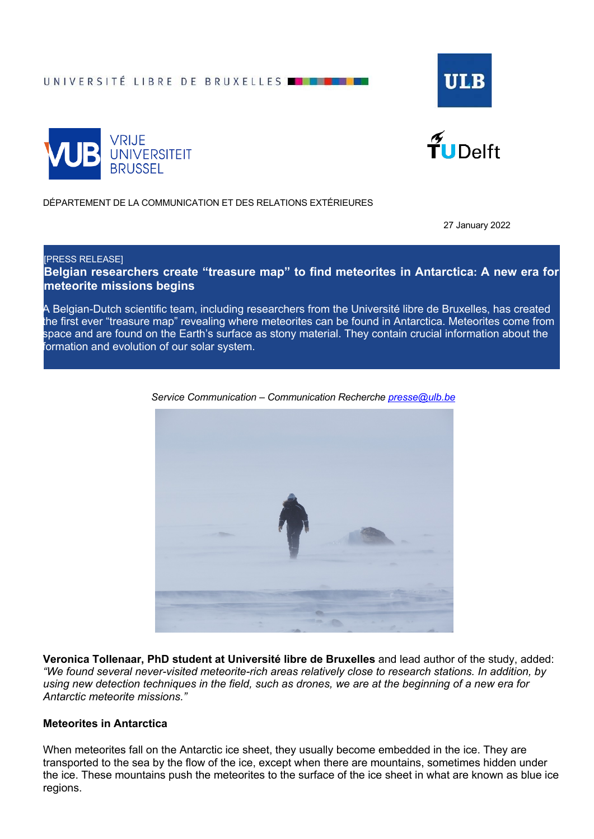UNIVERSITÉ LIBRE DE BRUXELLES **EN LES** 







DÉPARTEMENT DE LA COMMUNICATION ET DES RELATIONS EXTÉRIEURES

27 January 2022

[PRESS RELEASE]

**Belgian researchers create "treasure map" to find meteorites in Antarctica: A new era for meteorite missions begins**

A Belgian-Dutch scientific team, including researchers from the Université libre de Bruxelles, has created the first ever "treasure map" revealing where meteorites can be found in Antarctica. Meteorites come from space and are found on the Earth's surface as stony material. They contain crucial information about the formation and evolution of our solar system.



*Service Communication – Communication Recherche presse@ulb.be*

**Veronica Tollenaar, PhD student at Université libre de Bruxelles** and lead author of the study, added: *"We found several never-visited meteorite-rich areas relatively close to research stations. In addition, by using new detection techniques in the field, such as drones, we are at the beginning of a new era for Antarctic meteorite missions."*

## **Meteorites in Antarctica**

When meteorites fall on the Antarctic ice sheet, they usually become embedded in the ice. They are transported to the sea by the flow of the ice, except when there are mountains, sometimes hidden under the ice. These mountains push the meteorites to the surface of the ice sheet in what are known as blue ice regions.